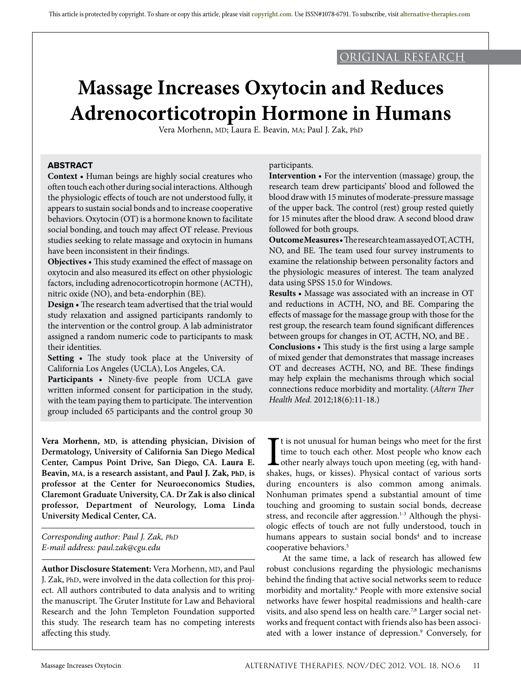## original research

# **Massage Increases Oxytocin and Reduces Adrenocorticotropin Hormone in Humans**

Vera Morhenn, MD; Laura E. Beavin, MA; Paul J. Zak, PhD

## **ABSTRACT**

**Context •** Human beings are highly social creatures who often touch each other during social interactions. Although the physiologic effects of touch are not understood fully, it appears to sustain social bonds and to increase cooperative behaviors. Oxytocin (OT) is a hormone known to facilitate social bonding, and touch may affect OT release. Previous studies seeking to relate massage and oxytocin in humans have been inconsistent in their findings.

**Objectives •** This study examined the effect of massage on oxytocin and also measured its effect on other physiologic factors, including adrenocorticotropin hormone (ACTH), nitric oxide (NO), and beta-endorphin (BE).

**Design •** The research team advertised that the trial would study relaxation and assigned participants randomly to the intervention or the control group. A lab administrator assigned a random numeric code to participants to mask their identities.

**Setting •** The study took place at the University of California Los Angeles (UCLA), Los Angeles, CA.

**Participants •** Ninety-five people from UCLA gave written informed consent for participation in the study, with the team paying them to participate. The intervention group included 65 participants and the control group 30

**Vera Morhenn, MD**, **is attending physician, Division of Dermatology, University of California San Diego Medical Center, Campus Point Drive, San Diego, CA. Laura E. Beavin, MA**, **is a research assistant, and Paul J. Zak, PhD**, **is professor at the Center for Neuroeconomics Studies, Claremont Graduate University, CA. Dr Zak is also clinical professor, Department of Neurology, Loma Linda University Medical Center, CA.** 

*Corresponding author: Paul J. Zak, PhD E-mail address: paul.zak@cgu.edu*

**Author Disclosure Statement:** Vera Morhenn, MD, and Paul J. Zak, PhD, were involved in the data collection for this project. All authors contributed to data analysis and to writing the manuscript. The Gruter Institute for Law and Behavioral Research and the John Templeton Foundation supported this study. The research team has no competing interests affecting this study.

#### participants.

**Intervention •** For the intervention (massage) group, the research team drew participants' blood and followed the blood draw with 15 minutes of moderate-pressure massage of the upper back. The control (rest) group rested quietly for 15 minutes after the blood draw. A second blood draw followed for both groups.

**Outcome Measures •** The research team assayed OT, ACTH, NO, and BE. The team used four survey instruments to examine the relationship between personality factors and the physiologic measures of interest. The team analyzed data using SPSS 15.0 for Windows.

**Results •** Massage was associated with an increase in OT and reductions in ACTH, NO, and BE. Comparing the effects of massage for the massage group with those for the rest group, the research team found significant differences between groups for changes in OT, ACTH, NO, and BE .

**Conclusions •** This study is the first using a large sample of mixed gender that demonstrates that massage increases OT and decreases ACTH, NO, and BE. These findings may help explain the mechanisms through which social connections reduce morbidity and mortality. (*Altern Ther Health Med.* 2012;18(6):11-18.)

 $\prod_{\text{shal}}$ t is not unusual for human beings who meet for the first time to touch each other. Most people who know each other nearly always touch upon meeting (eg, with handshakes, hugs, or kisses). Physical contact of various sorts during encounters is also common among animals. Nonhuman primates spend a substantial amount of time touching and grooming to sustain social bonds, decrease stress, and reconcile after aggression.<sup>1-3</sup> Although the physiologic effects of touch are not fully understood, touch in humans appears to sustain social bonds<sup>4</sup> and to increase cooperative behaviors.5

At the same time, a lack of research has allowed few robust conclusions regarding the physiologic mechanisms behind the finding that active social networks seem to reduce morbidity and mortality.6 People with more extensive social networks have fewer hospital readmissions and health-care visits, and also spend less on health care.7,8 Larger social networks and frequent contact with friends also has been associated with a lower instance of depression.<sup>9</sup> Conversely, for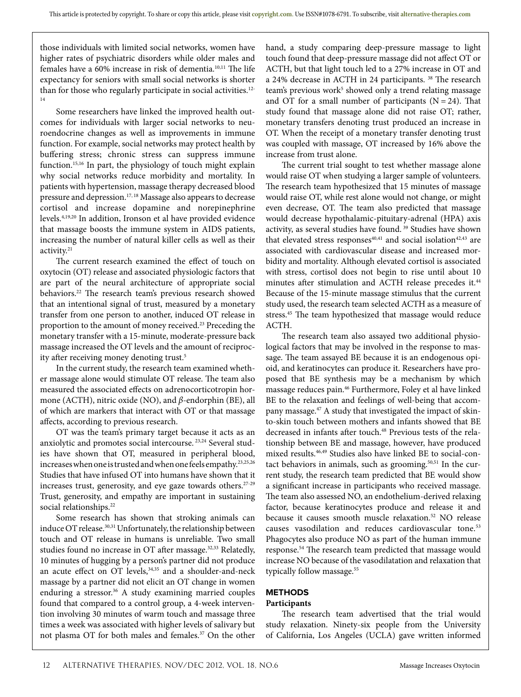those individuals with limited social networks, women have higher rates of psychiatric disorders while older males and females have a 60% increase in risk of dementia.10,11 The life expectancy for seniors with small social networks is shorter than for those who regularly participate in social activities.<sup>12-</sup> 14

Some researchers have linked the improved health outcomes for individuals with larger social networks to neuroendocrine changes as well as improvements in immune function. For example, social networks may protect health by buffering stress; chronic stress can suppress immune function.15,16 In part, the physiology of touch might explain why social networks reduce morbidity and mortality. In patients with hypertension, massage therapy decreased blood pressure and depression.17, 18 Massage also appears to decrease cortisol and increase dopamine and norepinephrine levels.4,19,20 In addition, Ironson et al have provided evidence that massage boosts the immune system in AIDS patients, increasing the number of natural killer cells as well as their activity.<sup>21</sup>

The current research examined the effect of touch on oxytocin (OT) release and associated physiologic factors that are part of the neural architecture of appropriate social behaviors.22 The research team's previous research showed that an intentional signal of trust, measured by a monetary transfer from one person to another, induced OT release in proportion to the amount of money received.<sup>23</sup> Preceding the monetary transfer with a 15-minute, moderate-pressure back massage increased the OT levels and the amount of reciprocity after receiving money denoting trust.<sup>5</sup>

In the current study, the research team examined whether massage alone would stimulate OT release. The team also measured the associated effects on adrenocorticotropin hormone (ACTH), nitric oxide (NO), and *β*-endorphin (BE), all of which are markers that interact with OT or that massage affects, according to previous research.

OT was the team's primary target because it acts as an anxiolytic and promotes social intercourse. 23,24 Several studies have shown that OT, measured in peripheral blood, increases when one is trusted and when one feels empathy.23,25,26 Studies that have infused OT into humans have shown that it increases trust, generosity, and eye gaze towards others.27-29 Trust, generosity, and empathy are important in sustaining social relationships.<sup>22</sup>

Some research has shown that stroking animals can induce OT release.<sup>30,31</sup> Unfortunately, the relationship between touch and OT release in humans is unreliable. Two small studies found no increase in OT after massage.<sup>32,33</sup> Relatedly, 10 minutes of hugging by a person's partner did not produce an acute effect on OT levels,<sup>34,35</sup> and a shoulder-and-neck massage by a partner did not elicit an OT change in women enduring a stressor.<sup>36</sup> A study examining married couples found that compared to a control group, a 4-week intervention involving 30 minutes of warm touch and massage three times a week was associated with higher levels of salivary but not plasma OT for both males and females.37 On the other

hand, a study comparing deep-pressure massage to light touch found that deep-pressure massage did not affect OT or ACTH, but that light touch led to a 27% increase in OT and a 24% decrease in ACTH in 24 participants.<sup>38</sup> The research team's previous work<sup>5</sup> showed only a trend relating massage and OT for a small number of participants  $(N = 24)$ . That study found that massage alone did not raise OT; rather, monetary transfers denoting trust produced an increase in OT. When the receipt of a monetary transfer denoting trust was coupled with massage, OT increased by 16% above the increase from trust alone.

The current trial sought to test whether massage alone would raise OT when studying a larger sample of volunteers. The research team hypothesized that 15 minutes of massage would raise OT, while rest alone would not change, or might even decrease, OT. The team also predicted that massage would decrease hypothalamic-pituitary-adrenal (HPA) axis activity, as several studies have found. 39 Studies have shown that elevated stress responses $40,41$  and social isolation $42,43$  are associated with cardiovascular disease and increased morbidity and mortality. Although elevated cortisol is associated with stress, cortisol does not begin to rise until about 10 minutes after stimulation and ACTH release precedes it.<sup>44</sup> Because of the 15-minute massage stimulus that the current study used, the research team selected ACTH as a measure of stress.45 The team hypothesized that massage would reduce ACTH.

The research team also assayed two additional physiological factors that may be involved in the response to massage. The team assayed BE because it is an endogenous opioid, and keratinocytes can produce it. Researchers have proposed that BE synthesis may be a mechanism by which massage reduces pain.46 Furthermore, Foley et al have linked BE to the relaxation and feelings of well-being that accompany massage.<sup>47</sup> A study that investigated the impact of skinto-skin touch between mothers and infants showed that BE decreased in infants after touch.<sup>48</sup> Previous tests of the relationship between BE and massage, however, have produced mixed results.46,49 Studies also have linked BE to social-contact behaviors in animals, such as grooming.<sup>50,51</sup> In the current study, the research team predicted that BE would show a significant increase in participants who received massage. The team also assessed NO, an endothelium-derived relaxing factor, because keratinocytes produce and release it and because it causes smooth muscle relaxation.<sup>52</sup> NO release causes vasodilation and reduces cardiovascular tone.<sup>53</sup> Phagocytes also produce NO as part of the human immune response.54 The research team predicted that massage would increase NO because of the vasodilatation and relaxation that typically follow massage.<sup>55</sup>

## **METHODS**

#### **Participants**

The research team advertised that the trial would study relaxation. Ninety-six people from the University of California, Los Angeles (UCLA) gave written informed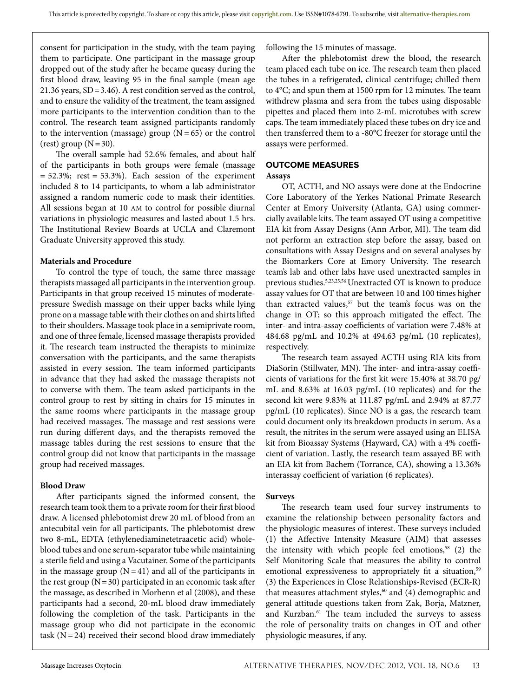consent for participation in the study, with the team paying them to participate. One participant in the massage group dropped out of the study after he became queasy during the first blood draw, leaving 95 in the final sample (mean age 21.36 years, SD=3.46). A rest condition served as the control, and to ensure the validity of the treatment, the team assigned more participants to the intervention condition than to the control. The research team assigned participants randomly to the intervention (massage) group  $(N = 65)$  or the control  $rest)$  group  $(N=30)$ .

The overall sample had 52.6% females, and about half of the participants in both groups were female (massage  $= 52.3\%$ ; rest  $= 53.3\%$ ). Each session of the experiment included 8 to 14 participants, to whom a lab administrator assigned a random numeric code to mask their identities. All sessions began at 10 AM to control for possible diurnal variations in physiologic measures and lasted about 1.5 hrs. The Institutional Review Boards at UCLA and Claremont Graduate University approved this study.

#### **Materials and Procedure**

To control the type of touch, the same three massage therapists massaged all participants in the intervention group. Participants in that group received 15 minutes of moderatepressure Swedish massage on their upper backs while lying prone on a massage table with their clothes on and shirts lifted to their shoulders**.** Massage took place in a semiprivate room, and one of three female, licensed massage therapists provided it. The research team instructed the therapists to minimize conversation with the participants, and the same therapists assisted in every session. The team informed participants in advance that they had asked the massage therapists not to converse with them. The team asked participants in the control group to rest by sitting in chairs for 15 minutes in the same rooms where participants in the massage group had received massages. The massage and rest sessions were run during different days, and the therapists removed the massage tables during the rest sessions to ensure that the control group did not know that participants in the massage group had received massages.

#### **Blood Draw**

After participants signed the informed consent, the research team took them to a private room for their first blood draw. A licensed phlebotomist drew 20 mL of blood from an antecubital vein for all participants. The phlebotomist drew two 8-mL, EDTA (ethylenediaminetetraacetic acid) wholeblood tubes and one serum-separator tube while maintaining a sterile field and using a Vacutainer. Some of the participants in the massage group  $(N = 41)$  and all of the participants in the rest group  $(N=30)$  participated in an economic task after the massage, as described in Morhenn et al (2008), and these participants had a second, 20-mL blood draw immediately following the completion of the task. Participants in the massage group who did not participate in the economic task  $(N=24)$  received their second blood draw immediately following the 15 minutes of massage.

After the phlebotomist drew the blood, the research team placed each tube on ice. The research team then placed the tubes in a refrigerated, clinical centrifuge; chilled them to 4°C; and spun them at 1500 rpm for 12 minutes. The team withdrew plasma and sera from the tubes using disposable pipettes and placed them into 2-mL microtubes with screw caps. The team immediately placed these tubes on dry ice and then transferred them to a -80°C freezer for storage until the assays were performed.

## **OUTCOME MEASURES**

#### **Assays**

OT, ACTH, and NO assays were done at the Endocrine Core Laboratory of the Yerkes National Primate Research Center at Emory University (Atlanta, GA) using commercially available kits. The team assayed OT using a competitive EIA kit from Assay Designs (Ann Arbor, MI). The team did not perform an extraction step before the assay, based on consultations with Assay Designs and on several analyses by the Biomarkers Core at Emory University. The research team's lab and other labs have used unextracted samples in previous studies.5,23,25,56 Unextracted OT is known to produce assay values for OT that are between 10 and 100 times higher than extracted values,<sup>57</sup> but the team's focus was on the change in OT; so this approach mitigated the effect. The inter- and intra-assay coefficients of variation were 7.48% at 484.68 pg/mL and 10.2% at 494.63 pg/mL (10 replicates), respectively.

The research team assayed ACTH using RIA kits from DiaSorin (Stillwater, MN). The inter- and intra-assay coefficients of variations for the first kit were 15.40% at 38.70 pg/ mL and 8.63% at 16.03 pg/mL (10 replicates) and for the second kit were 9.83% at 111.87 pg/mL and 2.94% at 87.77 pg/mL (10 replicates). Since NO is a gas, the research team could document only its breakdown products in serum. As a result, the nitrites in the serum were assayed using an ELISA kit from Bioassay Systems (Hayward, CA) with a 4% coefficient of variation. Lastly, the research team assayed BE with an EIA kit from Bachem (Torrance, CA), showing a 13.36% interassay coefficient of variation (6 replicates).

#### **Surveys**

The research team used four survey instruments to examine the relationship between personality factors and the physiologic measures of interest. These surveys included (1) the Affective Intensity Measure (AIM) that assesses the intensity with which people feel emotions,<sup>58</sup>  $(2)$  the Self Monitoring Scale that measures the ability to control emotional expressiveness to appropriately fit a situation,<sup>59</sup> (3) the Experiences in Close Relationships-Revised (ECR-R) that measures attachment styles, $60$  and (4) demographic and general attitude questions taken from Zak, Borja, Matzner, and Kurzban.61 The team included the surveys to assess the role of personality traits on changes in OT and other physiologic measures, if any.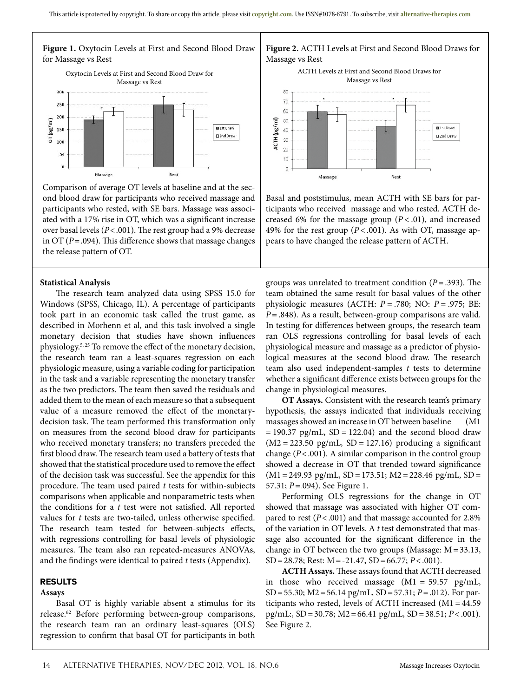

Comparison of average OT levels at baseline and at the second blood draw for participants who received massage and participants who rested, with SE bars. Massage was associated with a 17% rise in OT, which was a significant increase over basal levels (*P*<.001). The rest group had a 9% decrease in OT (*P*=.094). This difference shows that massage changes the release pattern of OT.

#### **Statistical Analysis**

The research team analyzed data using SPSS 15.0 for Windows (SPSS, Chicago, IL). A percentage of participants took part in an economic task called the trust game, as described in Morhenn et al, and this task involved a single monetary decision that studies have shown influences physiology.5, 25 To remove the effect of the monetary decision, the research team ran a least-squares regression on each physiologic measure, using a variable coding for participation in the task and a variable representing the monetary transfer as the two predictors. The team then saved the residuals and added them to the mean of each measure so that a subsequent value of a measure removed the effect of the monetarydecision task. The team performed this transformation only on measures from the second blood draw for participants who received monetary transfers; no transfers preceded the first blood draw. The research team used a battery of tests that showed that the statistical procedure used to remove the effect of the decision task was successful. See the appendix for this procedure. The team used paired *t* tests for within-subjects comparisons when applicable and nonparametric tests when the conditions for a *t* test were not satisfied. All reported values for *t* tests are two-tailed, unless otherwise specified. The research team tested for between-subjects effects, with regressions controlling for basal levels of physiologic measures. The team also ran repeated-measures ANOVAs, and the findings were identical to paired *t* tests (Appendix).

#### **RESULTS**

#### **Assays**

Basal OT is highly variable absent a stimulus for its release.62 Before performing between-group comparisons, the research team ran an ordinary least-squares (OLS) regression to confirm that basal OT for participants in both





Basal and poststimulus, mean ACTH with SE bars for participants who received massage and who rested. ACTH decreased 6% for the massage group  $(P < .01)$ , and increased 49% for the rest group  $(P < .001)$ . As with OT, massage appears to have changed the release pattern of ACTH.

groups was unrelated to treatment condition (*P* = .393). The team obtained the same result for basal values of the other physiologic measures (ACTH: *P* = .780; NO: *P* = .975; BE: *P*=.848). As a result, between-group comparisons are valid. In testing for differences between groups, the research team ran OLS regressions controlling for basal levels of each physiological measure and massage as a predictor of physiological measures at the second blood draw. The research team also used independent-samples *t* tests to determine whether a significant difference exists between groups for the change in physiological measures.

**OT Assays.** Consistent with the research team's primary hypothesis, the assays indicated that individuals receiving massages showed an increase in OT between baseline (M1  $= 190.37$  pg/mL, SD = 122.04) and the second blood draw  $(M2 = 223.50 \text{ pg/mL}$ ,  $SD = 127.16$ ) producing a significant change (*P*<.001). A similar comparison in the control group showed a decrease in OT that trended toward significance  $(M1=249.93 \text{ pg/mL}$ , SD = 173.51; M2 = 228.46 pg/mL, SD = 57.31; *P*= .094). See Figure 1.

Performing OLS regressions for the change in OT showed that massage was associated with higher OT compared to rest (*P*<.001) and that massage accounted for 2.8% of the variation in OT levels. A *t* test demonstrated that massage also accounted for the significant difference in the change in OT between the two groups (Massage:  $M = 33.13$ , SD=28.78; Rest: M=-21.47, SD=66.77; *P*<.001).

**ACTH Assays.** These assays found that ACTH decreased in those who received massage  $(M1 = 59.57 \text{ pg/mL}$ , SD=55.30; M2=56.14 pg/mL, SD=57.31; *P*=.012). For participants who rested, levels of ACTH increased (M1 = 44.59 pg/mL:, SD=30.78; M2=66.41 pg/mL, SD=38.51; *P*<.001). See Figure 2.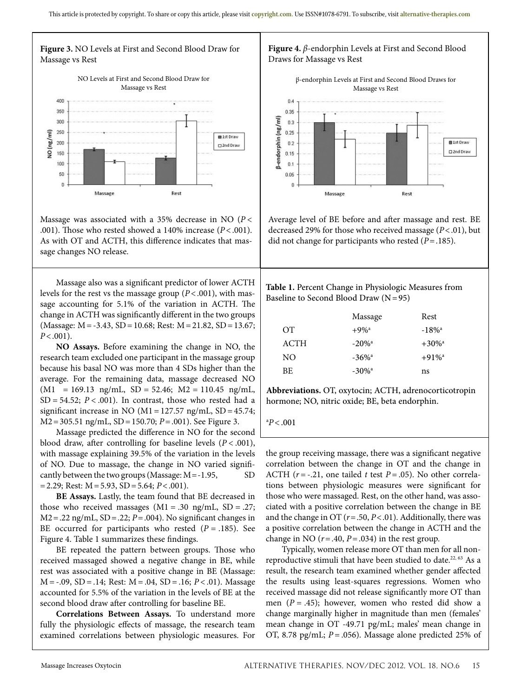

Massage was associated with a 35% decrease in NO (*P* < .001). Those who rested showed a 140% increase (*P*<.001). As with OT and ACTH, this difference indicates that massage changes NO release.

Massage also was a significant predictor of lower ACTH levels for the rest vs the massage group (*P*<.001), with massage accounting for 5.1% of the variation in ACTH. The change in ACTH was significantly different in the two groups (Massage: M=-3.43, SD=10.68; Rest: M=21.82, SD=13.67; *P*<.001).

**NO Assays.** Before examining the change in NO, the research team excluded one participant in the massage group because his basal NO was more than 4 SDs higher than the average. For the remaining data, massage decreased NO  $(M1 = 169.13 \text{ ng/mL}$ ,  $SD = 52.46$ ;  $M2 = 110.45 \text{ ng/mL}$ ,  $SD = 54.52$ ;  $P < .001$ ). In contrast, those who rested had a significant increase in NO ( $M1 = 127.57$  ng/mL,  $SD = 45.74$ ; M2=305.51 ng/mL, SD=150.70; *P*=.001). See Figure 3.

Massage predicted the difference in NO for the second blood draw, after controlling for baseline levels  $(P < .001)$ , with massage explaining 39.5% of the variation in the levels of NO. Due to massage, the change in NO varied significantly between the two groups (Massage: M = -1.95, SD =2.29; Rest: M=5.93, SD=5.64; *P*<.001).

**BE Assays.** Lastly, the team found that BE decreased in those who received massages  $(M1 = .30 \text{ ng/mL}, SD = .27;$ M2=.22 ng/mL, SD=.22; *P*=.004). No significant changes in BE occurred for participants who rested  $(P = .185)$ . See Figure 4. Table 1 summarizes these findings.

BE repeated the pattern between groups. Those who received massaged showed a negative change in BE, while rest was associated with a positive change in BE (Massage: M = -.09, SD = .14; Rest: M = .04, SD = .16; *P* < .01). Massage accounted for 5.5% of the variation in the levels of BE at the second blood draw after controlling for baseline BE.

**Correlations Between Assays.** To understand more fully the physiologic effects of massage, the research team examined correlations between physiologic measures. For

## **Figure 4.** *β*-endorphin Levels at First and Second Blood Draws for Massage vs Rest



Average level of BE before and after massage and rest. BE decreased 29% for those who received massage (*P*<.01), but did not change for participants who rested (*P*=.185).

**Table 1.** Percent Change in Physiologic Measures from Baseline to Second Blood Draw  $(N=95)$ 

|             | Massage              | Rest                 |
|-------------|----------------------|----------------------|
| OT.         | $+9\%$ <sup>a</sup>  | $-18\%$ <sup>a</sup> |
| <b>ACTH</b> | $-20\%$ <sup>a</sup> | $+30\%$ <sup>a</sup> |
| NO.         | $-36\%$ <sup>a</sup> | $+91\%$ <sup>a</sup> |
| BE.         | $-30\%$ <sup>a</sup> | ns                   |
|             |                      |                      |

**Abbreviations.** OT, oxytocin; ACTH, adrenocorticotropin hormone; NO, nitric oxide; BE, beta endorphin.

a *P<*.001

the group receiving massage, there was a significant negative correlation between the change in OT and the change in ACTH  $(r = -.21)$ , one tailed *t* test  $P = .05$ ). No other correlations between physiologic measures were significant for those who were massaged. Rest, on the other hand, was associated with a positive correlation between the change in BE and the change in OT (*r*=.50, *P*<.01). Additionally, there was a positive correlation between the change in ACTH and the change in NO  $(r=.40, P=.034)$  in the rest group.

Typically, women release more OT than men for all nonreproductive stimuli that have been studied to date.<sup>22, 63</sup> As a result, the research team examined whether gender affected the results using least-squares regressions. Women who received massage did not release significantly more OT than men  $(P = .45)$ ; however, women who rested did show a change marginally higher in magnitude than men (females' mean change in OT -49.71 pg/mL; males' mean change in OT, 8.78 pg/mL; *P* = .056). Massage alone predicted 25% of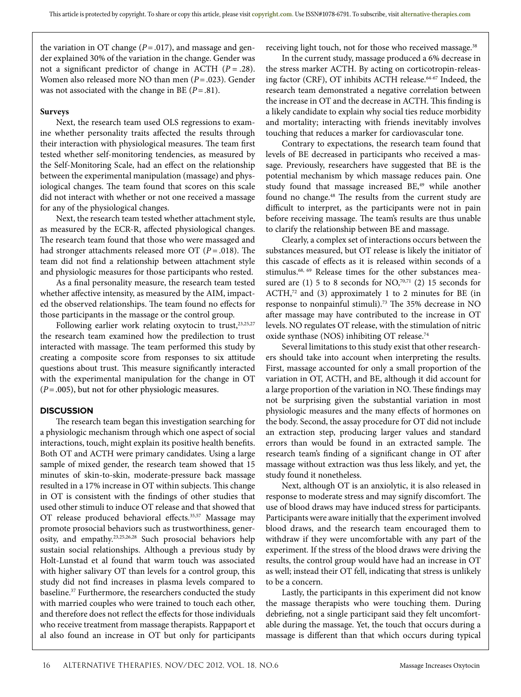the variation in OT change  $(P=.017)$ , and massage and gender explained 30% of the variation in the change. Gender was not a significant predictor of change in ACTH (*P* = .28). Women also released more NO than men (*P*=.023). Gender was not associated with the change in BE (*P*=.81).

#### **Surveys**

Next, the research team used OLS regressions to examine whether personality traits affected the results through their interaction with physiological measures. The team first tested whether self-monitoring tendencies, as measured by the Self-Monitoring Scale, had an effect on the relationship between the experimental manipulation (massage) and physiological changes. The team found that scores on this scale did not interact with whether or not one received a massage for any of the physiological changes.

Next, the research team tested whether attachment style, as measured by the ECR-R, affected physiological changes. The research team found that those who were massaged and had stronger attachments released more OT (*P* = .018). The team did not find a relationship between attachment style and physiologic measures for those participants who rested.

As a final personality measure, the research team tested whether affective intensity, as measured by the AIM, impacted the observed relationships. The team found no effects for those participants in the massage or the control group.

Following earlier work relating oxytocin to trust,<sup>23,25,27</sup> the research team examined how the predilection to trust interacted with massage. The team performed this study by creating a composite score from responses to six attitude questions about trust. This measure significantly interacted with the experimental manipulation for the change in OT (*P*=.005), but not for other physiologic measures.

#### **DISCUSSION**

The research team began this investigation searching for a physiologic mechanism through which one aspect of social interactions, touch, might explain its positive health benefits. Both OT and ACTH were primary candidates. Using a large sample of mixed gender, the research team showed that 15 minutes of skin-to-skin, moderate-pressure back massage resulted in a 17% increase in OT within subjects. This change in OT is consistent with the findings of other studies that used other stimuli to induce OT release and that showed that OT release produced behavioral effects.<sup>35,57</sup> Massage may promote prosocial behaviors such as trustworthiness, generosity, and empathy.23,25,26,28 Such prosocial behaviors help sustain social relationships. Although a previous study by Holt-Lunstad et al found that warm touch was associated with higher salivary OT than levels for a control group, this study did not find increases in plasma levels compared to baseline.<sup>37</sup> Furthermore, the researchers conducted the study with married couples who were trained to touch each other, and therefore does not reflect the effects for those individuals who receive treatment from massage therapists. Rappaport et al also found an increase in OT but only for participants

receiving light touch, not for those who received massage.<sup>38</sup>

In the current study, massage produced a 6% decrease in the stress marker ACTH. By acting on corticotropin-releasing factor (CRF), OT inhibits ACTH release.64-67 Indeed, the research team demonstrated a negative correlation between the increase in OT and the decrease in ACTH. This finding is a likely candidate to explain why social ties reduce morbidity and mortality; interacting with friends inevitably involves touching that reduces a marker for cardiovascular tone.

Contrary to expectations, the research team found that levels of BE decreased in participants who received a massage. Previously, researchers have suggested that BE is the potential mechanism by which massage reduces pain. One study found that massage increased BE,<sup>49</sup> while another found no change.<sup>48</sup> The results from the current study are difficult to interpret, as the participants were not in pain before receiving massage. The team's results are thus unable to clarify the relationship between BE and massage.

Clearly, a complex set of interactions occurs between the substances measured, but OT release is likely the initiator of this cascade of effects as it is released within seconds of a stimulus.<sup>68, 69</sup> Release times for the other substances measured are  $(1)$  5 to 8 seconds for NO,<sup>70,71</sup>  $(2)$  15 seconds for ACTH,<sup>72</sup> and (3) approximately 1 to 2 minutes for BE (in response to nonpainful stimuli).73 The 35% decrease in NO after massage may have contributed to the increase in OT levels. NO regulates OT release, with the stimulation of nitric oxide synthase (NOS) inhibiting OT release.74

Several limitations to this study exist that other researchers should take into account when interpreting the results. First, massage accounted for only a small proportion of the variation in OT, ACTH, and BE, although it did account for a large proportion of the variation in NO. These findings may not be surprising given the substantial variation in most physiologic measures and the many effects of hormones on the body. Second, the assay procedure for OT did not include an extraction step, producing larger values and standard errors than would be found in an extracted sample. The research team's finding of a significant change in OT after massage without extraction was thus less likely, and yet, the study found it nonetheless.

Next, although OT is an anxiolytic, it is also released in response to moderate stress and may signify discomfort. The use of blood draws may have induced stress for participants. Participants were aware initially that the experiment involved blood draws, and the research team encouraged them to withdraw if they were uncomfortable with any part of the experiment. If the stress of the blood draws were driving the results, the control group would have had an increase in OT as well; instead their OT fell, indicating that stress is unlikely to be a concern.

Lastly, the participants in this experiment did not know the massage therapists who were touching them. During debriefing, not a single participant said they felt uncomfortable during the massage. Yet, the touch that occurs during a massage is different than that which occurs during typical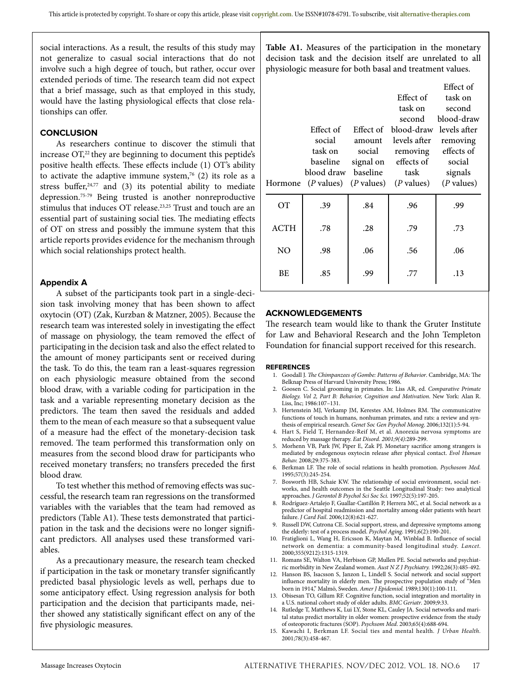social interactions. As a result, the results of this study may not generalize to casual social interactions that do not involve such a high degree of touch, but rather, occur over extended periods of time. The research team did not expect that a brief massage, such as that employed in this study, would have the lasting physiological effects that close relationships can offer.

#### **CONCLUSION**

As researchers continue to discover the stimuli that increase OT,<sup>22</sup> they are beginning to document this peptide's positive health effects. These effects include (1) OT's ability to activate the adaptive immune system,<sup>76</sup> (2) its role as a stress buffer, $24,77$  and (3) its potential ability to mediate depression.75-79 Being trusted is another nonreproductive stimulus that induces OT release.23,25 Trust and touch are an essential part of sustaining social ties. The mediating effects of OT on stress and possibly the immune system that this article reports provides evidence for the mechanism through which social relationships protect health.

#### **Appendix A**

A subset of the participants took part in a single-decision task involving money that has been shown to affect oxytocin (OT) (Zak, Kurzban & Matzner, 2005). Because the research team was interested solely in investigating the effect of massage on physiology, the team removed the effect of participating in the decision task and also the effect related to the amount of money participants sent or received during the task. To do this, the team ran a least-squares regression on each physiologic measure obtained from the second blood draw, with a variable coding for participation in the task and a variable representing monetary decision as the predictors. The team then saved the residuals and added them to the mean of each measure so that a subsequent value of a measure had the effect of the monetary-decision task removed. The team performed this transformation only on measures from the second blood draw for participants who received monetary transfers; no transfers preceded the first blood draw.

To test whether this method of removing effects was successful, the research team ran regressions on the transformed variables with the variables that the team had removed as predictors (Table A1). These tests demonstrated that participation in the task and the decisions were no longer significant predictors. All analyses used these transformed variables.

As a precautionary measure, the research team checked if participation in the task or monetary transfer significantly predicted basal physiologic levels as well, perhaps due to some anticipatory effect. Using regression analysis for both participation and the decision that participants made, neither showed any statistically significant effect on any of the five physiologic measures.

**Table A1.** Measures of the participation in the monetary decision task and the decision itself are unrelated to all physiologic measure for both basal and treatment values.

|             | Effect of<br>social<br>task on<br>baseline<br>blood draw baseline      | amount<br>social | Effect of<br>task on<br>second<br>Effect of blood-draw levels after<br>levels after<br>removing<br>signal on effects of<br>task | Effect of<br>task on<br>second<br>blood-draw<br>removing<br>effects of<br>social<br>signals |
|-------------|------------------------------------------------------------------------|------------------|---------------------------------------------------------------------------------------------------------------------------------|---------------------------------------------------------------------------------------------|
|             | Hormone $(P \text{ values})$ $(P \text{ values})$ $(P \text{ values})$ |                  |                                                                                                                                 | ( <i>P</i> values)                                                                          |
| OТ          | .39                                                                    | .84              | .96                                                                                                                             | .99                                                                                         |
| <b>ACTH</b> | .78                                                                    | .28              | .79                                                                                                                             | .73                                                                                         |
| NO.         | .98                                                                    | .06              | .56                                                                                                                             | .06                                                                                         |
| <b>BE</b>   | .85                                                                    | .99              | .77                                                                                                                             | .13                                                                                         |

#### **ACKNOWLEDGEMENTS**

The research team would like to thank the Gruter Institute for Law and Behavioral Research and the John Templeton Foundation for financial support received for this research.

#### **REFERENCES**

- 1. Goodall J. *The Chimpanzees of Gombe: Patterns of Behavior*. Cambridge, MA: The Belknap Press of Harvard University Press; 1986.
- 2. Goosen C. Social grooming in primates. In: Liss AR, ed. *Comparative Primate Biology. Vol 2, Part B: Behavior, Cognition and Motivation*. New York: Alan R. Liss, Inc; 1986:107–131.
- 3. Hertenstein MJ, Verkamp JM, Kerestes AM, Holmes RM. The communicative functions of touch in humans, nonhuman primates, and rats: a review and synthesis of empirical research. *Genet Soc Gen Psychol Monog*. 2006;132(1):5-94.
- 4. Hart S, Field T, Hernandez-Reif M, et al. Anorexia nervosa symptoms are reduced by massage therapy. *Eat Disord. 2001;9(4):*289-299.
- Morhenn VB, Park JW, Piper E, Zak PJ. Monetary sacrifice among strangers is mediated by endogenous oxytocin release after physical contact. *Evol Human Behav.* 2008;29*:*375-383.
- 6. Berkman LF. The role of social relations in health promotion. *Psychosom Med.* 1995;57(3):245-254.
- 7. Bosworth HB, Schaie KW. The relationship of social environment, social networks, and health outcomes in the Seattle Longitudinal Study: two analytical approaches. *J Gerontol B Psychol Sci Soc Sci.* 1997;52(5):197-205.
- 8. Rodríguez-Artalejo F, Guallar-Castillón P, Herrera MC, et al. Social network as a predictor of hospital readmission and mortality among older patients with heart failure. *J Card Fail*. 2006;12(8):621-627.
- 9. Russell DW, Cutrona CE. Social support, stress, and depressive symptoms among the elderly: test of a process model. *Psychol Aging*. 1991;6(2):190-201.
- 10. Fratiglioni L, Wang H, Ericsson K, Maytan M, Winblad B. Influence of social network on dementia: a community-based longitudinal study. *Lancet.* 2000;355(9212):1315-1319.
- 11. Romans SE, Walton VA, Herbison GP, Mullen PE. Social networks and psychiatric morbidity in New Zealand women. *Aust N Z J Psychiatry.* 1992;26(3):485-492.
- 12. Hanson BS, Isacsson S, Janzon L, Lindell S. Social network and social support influence mortality in elderly men. The prospective population study of "Men born in 1914," Malmö, Sweden. *Amer J Epidemiol.* 1989;130(1):100-111.
- 13. Obisesan TO, Gillum RF. Cognitive function, social integration and mortality in a U.S. national cohort study of older adults. *BMC Geriatr*. 2009;9:33.
- 14. Rutledge T, Matthews K, Lui LY, Stone KL, Cauley JA. Social networks and marital status predict mortality in older women: prospective evidence from the study of osteoporotic fractures (SOP). *Psychsom Med*. 2003;65(4):688-694.
- 15. Kawachi I, Berkman LF. Social ties and mental health*. J Urban Health.* 2001;78(3):458-467.